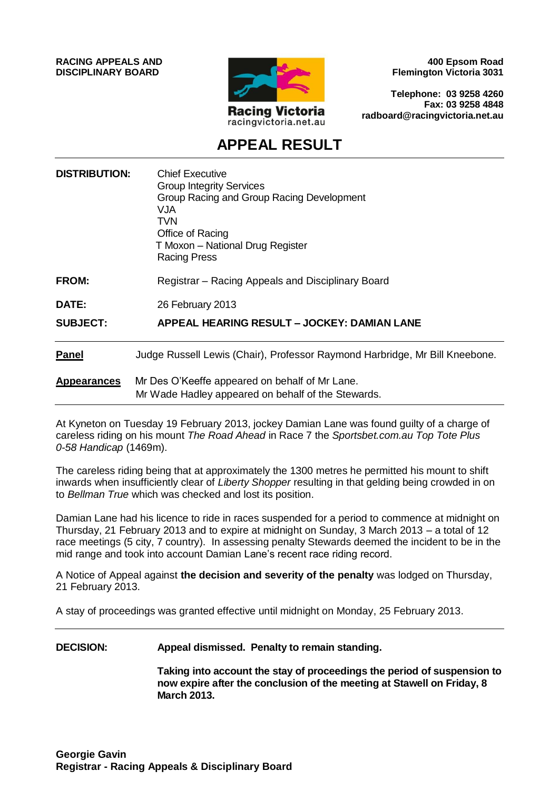**RACING APPEALS AND DISCIPLINARY BOARD**



**400 Epsom Road Flemington Victoria 3031**

**Telephone: 03 9258 4260 Fax: 03 9258 4848 radboard@racingvictoria.net.au**

## **APPEAL RESULT**

| <b>DISTRIBUTION:</b> | <b>Chief Executive</b><br><b>Group Integrity Services</b><br>Group Racing and Group Racing Development<br>VJA<br>TVN<br>Office of Racing<br>T Moxon - National Drug Register<br><b>Racing Press</b> |
|----------------------|-----------------------------------------------------------------------------------------------------------------------------------------------------------------------------------------------------|
| <b>FROM:</b>         | Registrar - Racing Appeals and Disciplinary Board                                                                                                                                                   |
| DATE:                | 26 February 2013                                                                                                                                                                                    |
| <b>SUBJECT:</b>      | APPEAL HEARING RESULT - JOCKEY: DAMIAN LANE                                                                                                                                                         |
| <b>Panel</b>         | Judge Russell Lewis (Chair), Professor Raymond Harbridge, Mr Bill Kneebone.                                                                                                                         |
| <b>Appearances</b>   | Mr Des O'Keeffe appeared on behalf of Mr Lane.<br>Mr Wade Hadley appeared on behalf of the Stewards.                                                                                                |

At Kyneton on Tuesday 19 February 2013, jockey Damian Lane was found guilty of a charge of careless riding on his mount *The Road Ahead* in Race 7 the *Sportsbet.com.au Top Tote Plus 0-58 Handicap* (1469m).

The careless riding being that at approximately the 1300 metres he permitted his mount to shift inwards when insufficiently clear of *Liberty Shopper* resulting in that gelding being crowded in on to *Bellman True* which was checked and lost its position.

Damian Lane had his licence to ride in races suspended for a period to commence at midnight on Thursday, 21 February 2013 and to expire at midnight on Sunday, 3 March 2013 – a total of 12 race meetings (5 city, 7 country). In assessing penalty Stewards deemed the incident to be in the mid range and took into account Damian Lane's recent race riding record.

A Notice of Appeal against **the decision and severity of the penalty** was lodged on Thursday, 21 February 2013.

A stay of proceedings was granted effective until midnight on Monday, 25 February 2013.

#### **DECISION: Appeal dismissed. Penalty to remain standing.**

**Taking into account the stay of proceedings the period of suspension to now expire after the conclusion of the meeting at Stawell on Friday, 8 March 2013.**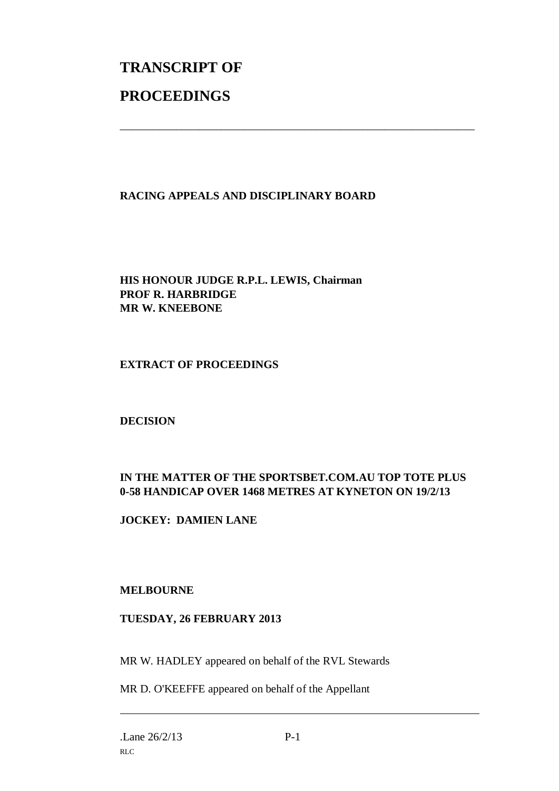# **TRANSCRIPT OF PROCEEDINGS**

#### **RACING APPEALS AND DISCIPLINARY BOARD**

\_\_\_\_\_\_\_\_\_\_\_\_\_\_\_\_\_\_\_\_\_\_\_\_\_\_\_\_\_\_\_\_\_\_\_\_\_\_\_\_\_\_\_\_\_\_\_\_\_\_\_\_\_\_\_\_\_\_\_\_\_\_\_

**HIS HONOUR JUDGE R.P.L. LEWIS, Chairman PROF R. HARBRIDGE MR W. KNEEBONE**

#### **EXTRACT OF PROCEEDINGS**

#### **DECISION**

### **IN THE MATTER OF THE SPORTSBET.COM.AU TOP TOTE PLUS 0-58 HANDICAP OVER 1468 METRES AT KYNETON ON 19/2/13**

**JOCKEY: DAMIEN LANE**

#### **MELBOURNE**

#### **TUESDAY, 26 FEBRUARY 2013**

MR W. HADLEY appeared on behalf of the RVL Stewards

MR D. O'KEEFFE appeared on behalf of the Appellant